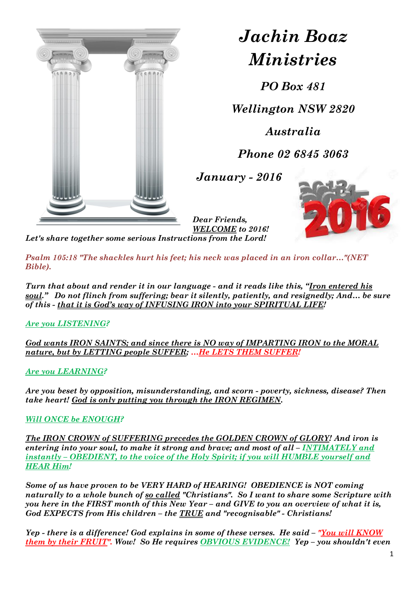

## *Jachin Boaz Ministries*

*PO Box 481*

*Wellington NSW 2820*

*Australia*

*Phone 02 6845 3063*

*January - 2016*



*Dear Friends, WELCOME to 2016!*

*Let's share together some serious Instructions from the Lord!*

*Psalm 105:18 "The shackles hurt his feet; his neck was placed in an iron collar…"(NET Bible).*

*Turn that about and render it in our language - and it reads like this, "Iron entered his soul." Do not flinch from suffering; bear it silently, patiently, and resignedly; And… be sure of this - that it is God's way of INFUSING IRON into your SPIRITUAL LIFE!*

*Are you LISTENING?*

*God wants IRON SAINTS; and since there is NO way of IMPARTING IRON to the MORAL nature, but by LETTING people SUFFER; …He LETS THEM SUFFER!*

*Are you LEARNING?*

*Are you beset by opposition, misunderstanding, and scorn - poverty, sickness, disease? Then take heart! God is only putting you through the IRON REGIMEN.* 

## *Will ONCE be ENOUGH?*

*The IRON CROWN of SUFFERING precedes the GOLDEN CROWN of GLORY! And iron is entering into your soul, to make it strong and brave; and most of all – INTIMATELY and instantly – OBEDIENT, to the voice of the Holy Spirit; if you will HUMBLE yourself and HEAR Him!* 

*Some of us have proven to be VERY HARD of HEARING! OBEDIENCE is NOT coming naturally to a whole bunch of so called "Christians". So I want to share some Scripture with you here in the FIRST month of this New Year – and GIVE to you an overview of what it is, God EXPECTS from His children – the TRUE and "recognisable" - Christians!* 

*Yep - there is a difference! God explains in some of these verses. He said – "You will KNOW them by their FRUIT". Wow! So He requires OBVIOUS EVIDENCE! Yep – you shouldn't even*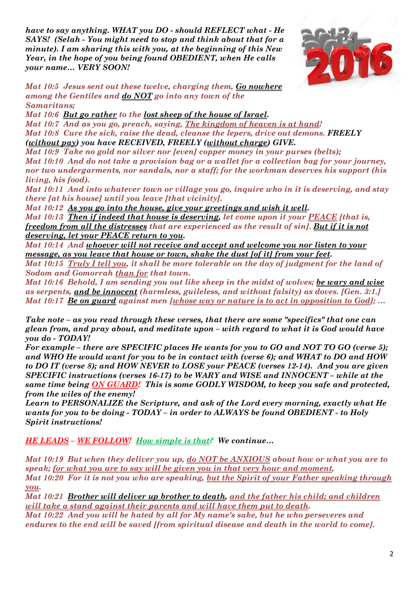*have to say anything. WHAT you DO - should REFLECT what - He SAYS! (Selah - You might need to stop and think about that for a minute). I am sharing this with you, at the beginning of this New Year, in the hope of you being found OBEDIENT, when He calls your name… VERY SOON!*



*Mat 10:5 Jesus sent out these twelve, charging them, Go nowhere among the Gentiles and do NOT go into any town of the Samaritans;* 

*Mat 10:6 But go rather to the lost sheep of the house of Israel.* 

*Mat 10:7 And as you go, preach, saying, The kingdom of heaven is at hand! Mat 10:8 Cure the sick, raise the dead, cleanse the lepers, drive out demons. FREELY (without pay) you have RECEIVED, FREELY (without charge) GIVE.* 

*Mat 10:9 Take no gold nor silver nor [even] copper money in your purses (belts); Mat 10:10 And do not take a provision bag or a wallet for a collection bag for your journey, nor two undergarments, nor sandals, nor a staff; for the workman deserves his support (his living, his food).* 

*Mat 10:11 And into whatever town or village you go, inquire who in it is deserving, and stay there [at his house] until you leave [that vicinity].* 

*Mat 10:12 As you go into the house, give your greetings and wish it well.* 

*Mat 10:13 Then if indeed that house is deserving, let come upon it your PEACE [that is, freedom from all the distresses that are experienced as the result of sin]. But if it is not deserving, let your PEACE return to you.* 

*Mat 10:14 And whoever will not receive and accept and welcome you nor listen to your message, as you leave that house or town, shake the dust [of it] from your feet.* 

*Mat 10:15 Truly I tell you, it shall be more tolerable on the day of judgment for the land of Sodom and Gomorrah than for that town.* 

*Mat 10:16 Behold, I am sending you out like sheep in the midst of wolves; be wary and wise as serpents, and be innocent (harmless, guileless, and without falsity) as doves. [Gen. 3:1.] Mat 10:17 Be on guard against men [whose way or nature is to act in opposition to God]; …*

*Take note – as you read through these verses, that there are some "specifics" that one can glean from, and pray about, and meditate upon – with regard to what it is God would have you do - TODAY!*

*For example – there are SPECIFIC places He wants for you to GO and NOT TO GO (verse 5); and WHO He would want for you to be in contact with (verse 6); and WHAT to DO and HOW to DO IT (verse 8); and HOW NEVER to LOSE your PEACE (verses 12-14). And you are given SPECIFIC instructions (verses 16-17) to be WARY and WISE and INNOCENT – while at the same time being ON GUARD! This is some GODLY WISDOM, to keep you safe and protected, from the wiles of the enemy!* 

*Learn to PERSONALIZE the Scripture, and ask of the Lord every morning, exactly what He wants for you to be doing - TODAY – in order to ALWAYS be found OBEDIENT - to Holy Spirit instructions!*

*HE LEADS – WE FOLLOW! How simple is that? We continue…*

*Mat 10:19 But when they deliver you up, do NOT be ANXIOUS about how or what you are to speak; for what you are to say will be given you in that very hour and moment, Mat 10:20 For it is not you who are speaking, but the Spirit of your Father speaking through you.* 

*Mat 10:21 Brother will deliver up brother to death, and the father his child; and children will take a stand against their parents and will have them put to death.* 

*Mat 10:22 And you will be hated by all for My name's sake, but he who perseveres and endures to the end will be saved [from spiritual disease and death in the world to come].*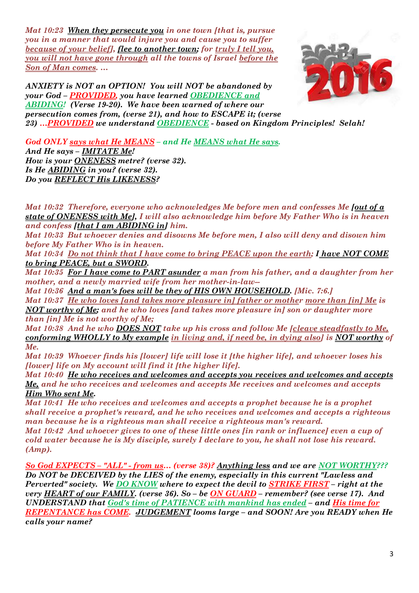*Mat 10:23 When they persecute you in one town [that is, pursue you in a manner that would injure you and cause you to suffer because of your belief], flee to another town; for truly I tell you, you will not have gone through all the towns of Israel before the Son of Man comes. …*



*ANXIETY is NOT an OPTION! You will NOT be abandoned by your God – PROVIDED, you have learned OBEDIENCE and ABIDING! (Verse 19-20). We have been warned of where our persecution comes from, (verse 21), and how to ESCAPE it; (verse 23) …PROVIDED we understand OBEDIENCE - based on Kingdom Principles! Selah!* 

*God ONLY says what He MEANS – and He MEANS what He says. And He says – IMITATE Me! How is your ONENESS metre? (verse 32). Is He ABIDING in you? (verse 32). Do you REFLECT His LIKENESS?* 

*Mat 10:32 Therefore, everyone who acknowledges Me before men and confesses Me [out of a state of ONENESS with Me], I will also acknowledge him before My Father Who is in heaven and confess [that I am ABIDING in] him.* 

*Mat 10:33 But whoever denies and disowns Me before men, I also will deny and disown him before My Father Who is in heaven.* 

*Mat 10:34 Do not think that I have come to bring PEACE upon the earth; I have NOT COME to bring PEACE, but a SWORD.* 

*Mat 10:35 For I have come to PART asunder a man from his father, and a daughter from her mother, and a newly married wife from her mother-in-law--*

*Mat 10:36 And a man's foes will be they of HIS OWN HOUSEHOLD. [Mic. 7:6.]* 

*Mat 10:37 He who loves [and takes more pleasure in] father or mother more than [in] Me is NOT worthy of Me; and he who loves [and takes more pleasure in] son or daughter more than [in] Me is not worthy of Me;* 

*Mat 10:38 And he who DOES NOT take up his cross and follow Me [cleave steadfastly to Me, conforming WHOLLY to My example in living and, if need be, in dying also] is NOT worthy of Me.* 

*Mat 10:39 Whoever finds his [lower] life will lose it [the higher life], and whoever loses his [lower] life on My account will find it [the higher life].* 

*Mat 10:40 He who receives and welcomes and accepts you receives and welcomes and accepts Me, and he who receives and welcomes and accepts Me receives and welcomes and accepts Him Who sent Me.* 

*Mat 10:41 He who receives and welcomes and accepts a prophet because he is a prophet shall receive a prophet's reward, and he who receives and welcomes and accepts a righteous man because he is a righteous man shall receive a righteous man's reward.* 

*Mat 10:42 And whoever gives to one of these little ones [in rank or influence] even a cup of cold water because he is My disciple, surely I declare to you, he shall not lose his reward. (Amp).*

*So God EXPECTS – "ALL" - from us… (verse 38)? Anything less and we are NOT WORTHY??? Do NOT be DECEIVED by the LIES of the enemy, especially in this current "Lawless and Perverted" society. We DO KNOW where to expect the devil to STRIKE FIRST – right at the very HEART of our FAMILY. (verse 36). So – be ON GUARD – remember? (see verse 17). And UNDERSTAND that God's time of PATIENCE with mankind has ended – and His time for REPENTANCE has COME. JUDGEMENT looms large – and SOON! Are you READY when He calls your name?*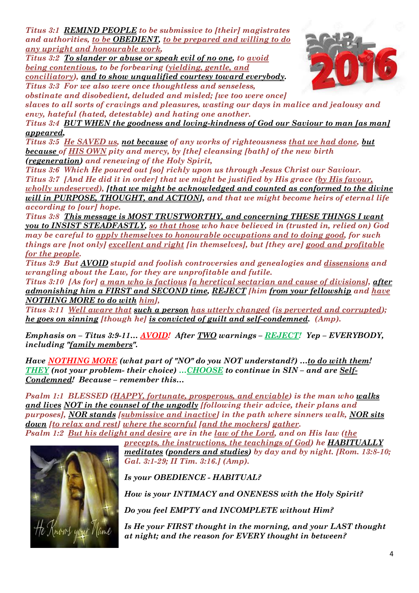*Titus 3:1 REMIND PEOPLE to be submissive to [their] magistrates and authorities, to be OBEDIENT, to be prepared and willing to do any upright and honourable work,* 

*Titus 3:2 To slander or abuse or speak evil of no one, to avoid being contentious, to be forbearing (yielding, gentle, and conciliatory), and to show unqualified courtesy toward everybody.* 





*obstinate and disobedient, deluded and misled; [we too were once] slaves to all sorts of cravings and pleasures, wasting our days in malice and jealousy and envy, hateful (hated, detestable) and hating one another.* 

*Titus 3:4 BUT WHEN the goodness and loving-kindness of God our Saviour to man [as man] appeared,* 

*Titus 3:5 He SAVED us, not because of any works of righteousness that we had done, but because of HIS OWN pity and mercy, by [the] cleansing [bath] of the new birth (regeneration) and renewing of the Holy Spirit,* 

*Titus 3:6 Which He poured out [so] richly upon us through Jesus Christ our Saviour. Titus 3:7 [And He did it in order] that we might be justified by His grace (by His favour, wholly undeserved), [that we might be acknowledged and counted as conformed to the divine will in PURPOSE, THOUGHT, and ACTION], and that we might become heirs of eternal life according to [our] hope.* 

*Titus 3:8 This message is MOST TRUSTWORTHY, and concerning THESE THINGS I want you to INSIST STEADFASTLY, so that those who have believed in (trusted in, relied on) God may be careful to apply themselves to honourable occupations and to doing good, for such things are [not only] excellent and right [in themselves], but [they are] good and profitable for the people.* 

*Titus 3:9 But AVOID stupid and foolish controversies and genealogies and dissensions and wrangling about the Law, for they are unprofitable and futile.* 

*Titus 3:10 [As for] a man who is factious [a heretical sectarian and cause of divisions], after admonishing him a FIRST and SECOND time, REJECT [him from your fellowship and have NOTHING MORE to do with him],* 

*Titus 3:11 Well aware that such a person has utterly changed (is perverted and corrupted); he goes on sinning [though he] is convicted of guilt and self-condemned. (Amp).*

*Emphasis on – Titus 3:9-11… AVOID! After TWO warnings – REJECT! Yep – EVERYBODY, including "family members".*

*Have NOTHING MORE (what part of "NO" do you NOT understand?) …to do with them! THEY (not your problem- their choice) …CHOOSE to continue in SIN – and are Self-Condemned! Because – remember this…*

*Psalm 1:1 BLESSED (HAPPY, fortunate, prosperous, and enviable) is the man who walks and lives NOT in the counsel of the ungodly [following their advice, their plans and purposes], NOR stands [submissive and inactive] in the path where sinners walk, NOR sits down [to relax and rest] where the scornful [and the mockers] gather.* 

*Psalm 1:2 But his delight and desire are in the law of the Lord, and on His law (the* 

*precepts, the instructions, the teachings of God) he HABITUALLY meditates (ponders and studies) by day and by night. [Rom. 13:8-10; Gal. 3:1-29; II Tim. 3:16.] (Amp).*

*Is your OBEDIENCE - HABITUAL?* 

*How is your INTIMACY and ONENESS with the Holy Spirit?* 

*Do you feel EMPTY and INCOMPLETE without Him?* 

*Is He your FIRST thought in the morning, and your LAST thought at night; and the reason for EVERY thought in between?*